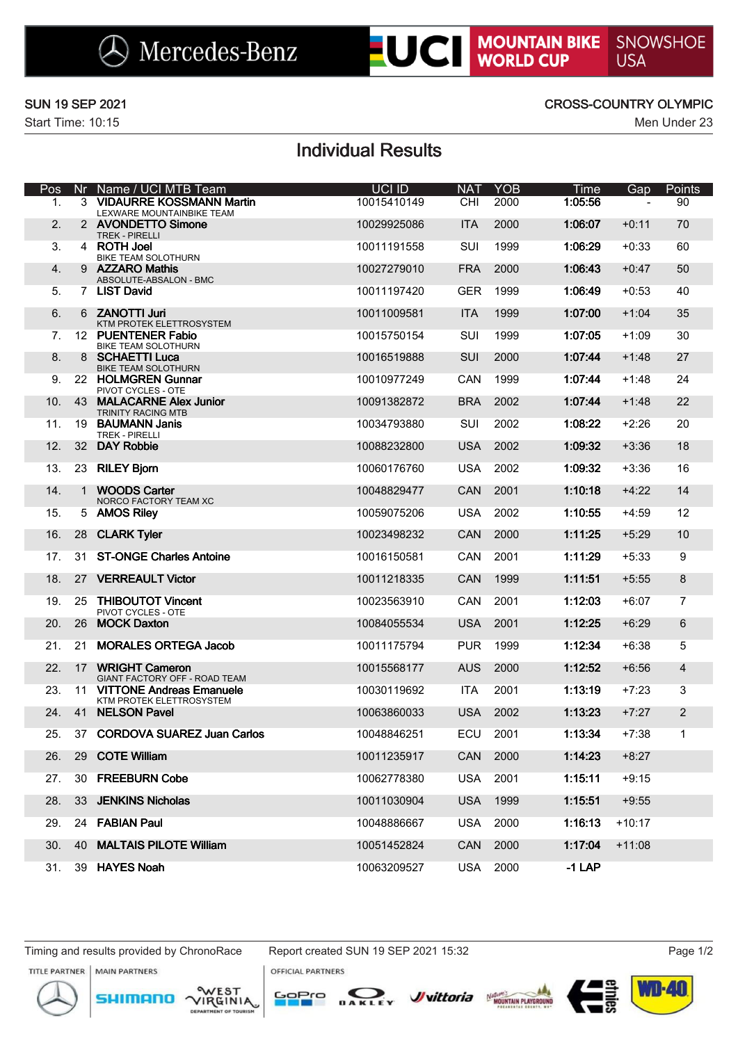**LUCI MOUNTAIN BIKE** SNOWSHOE

Start Time: 10:15 Men Under 23

### SUN 19 SEP 2021 CROSS-COUNTRY OLYMPIC

# Individual Results

| Pos |    | Nr Name / UCI MTB Team                                      | UCI ID      | <b>NAT</b> | <b>YOB</b> | Time     | Gap      | Points           |
|-----|----|-------------------------------------------------------------|-------------|------------|------------|----------|----------|------------------|
| 1.  |    | 3 VIDAURRE KOSSMANN Martin<br>LEXWARE MOUNTAINBIKE TEAM     | 10015410149 | <b>CHI</b> | 2000       | 1:05:56  |          | 90               |
| 2.  |    | 2 AVONDETTO Simone<br><b>TREK - PIRELLI</b>                 | 10029925086 | <b>ITA</b> | 2000       | 1:06:07  | $+0:11$  | 70               |
| 3.  |    | 4 ROTH Joel<br>BIKE TEAM SOLOTHURN                          | 10011191558 | <b>SUI</b> | 1999       | 1:06:29  | $+0:33$  | 60               |
| 4.  |    | 9 AZZARO Mathis<br>ABSOLUTE-ABSALON - BMC                   | 10027279010 | <b>FRA</b> | 2000       | 1:06:43  | $+0:47$  | 50               |
| 5.  |    | 7 LIST David                                                | 10011197420 | <b>GER</b> | 1999       | 1:06:49  | $+0:53$  | 40               |
| 6.  |    | 6 ZANOTTI Juri<br>KTM PROTEK ELETTROSYSTEM                  | 10011009581 | <b>ITA</b> | 1999       | 1:07:00  | $+1:04$  | 35               |
| 7.  |    | 12 PUENTENER Fabio<br>BIKE TEAM SOLOTHURN                   | 10015750154 | <b>SUI</b> | 1999       | 1:07:05  | $+1:09$  | 30               |
| 8.  |    | 8 SCHAETTI Luca<br><b>BIKE TEAM SOLOTHURN</b>               | 10016519888 | <b>SUI</b> | 2000       | 1:07:44  | $+1:48$  | 27               |
| 9.  |    | 22 HOLMGREN Gunnar<br>PIVOT CYCLES - OTE                    | 10010977249 | <b>CAN</b> | 1999       | 1:07:44  | $+1:48$  | 24               |
| 10. | 43 | <b>MALACARNE Alex Junior</b><br><b>TRINITY RACING MTB</b>   | 10091382872 | <b>BRA</b> | 2002       | 1:07:44  | $+1:48$  | 22               |
| 11. | 19 | <b>BAUMANN Janis</b><br><b>TREK - PIRELLI</b>               | 10034793880 | SUI        | 2002       | 1:08:22  | $+2:26$  | 20               |
| 12. |    | 32 DAY Robbie                                               | 10088232800 | <b>USA</b> | 2002       | 1:09:32  | $+3:36$  | 18               |
| 13. | 23 | <b>RILEY Bjorn</b>                                          | 10060176760 | <b>USA</b> | 2002       | 1:09:32  | $+3:36$  | 16               |
| 14. |    | 1 WOODS Carter<br>NORCO FACTORY TEAM XC                     | 10048829477 | CAN        | 2001       | 1:10:18  | $+4:22$  | 14               |
| 15. |    | 5 AMOS Rilev                                                | 10059075206 | <b>USA</b> | 2002       | 1:10:55  | $+4:59$  | 12               |
| 16. | 28 | <b>CLARK Tyler</b>                                          | 10023498232 | CAN        | 2000       | 1:11:25  | $+5:29$  | 10               |
| 17. |    | 31 ST-ONGE Charles Antoine                                  | 10016150581 | <b>CAN</b> | 2001       | 1:11:29  | $+5:33$  | 9                |
| 18. |    | 27 VERREAULT Victor                                         | 10011218335 | CAN        | 1999       | 1:11:51  | $+5:55$  | $\boldsymbol{8}$ |
| 19. | 25 | <b>THIBOUTOT Vincent</b><br>PIVOT CYCLES - OTE              | 10023563910 | <b>CAN</b> | 2001       | 1:12:03  | $+6:07$  | $\overline{7}$   |
| 20. | 26 | <b>MOCK Daxton</b>                                          | 10084055534 | <b>USA</b> | 2001       | 1:12:25  | $+6:29$  | 6                |
| 21. | 21 | <b>MORALES ORTEGA Jacob</b>                                 | 10011175794 | <b>PUR</b> | 1999       | 1:12:34  | $+6:38$  | 5                |
| 22. | 17 | <b>WRIGHT Cameron</b><br>GIANT FACTORY OFF - ROAD TEAM      | 10015568177 | <b>AUS</b> | 2000       | 1:12:52  | $+6:56$  | $\overline{4}$   |
| 23. | 11 | <b>VITTONE Andreas Emanuele</b><br>KTM PROTEK ELETTROSYSTEM | 10030119692 | <b>ITA</b> | 2001       | 1:13:19  | $+7:23$  | 3                |
| 24. |    | 41 NELSON Pavel                                             | 10063860033 | <b>USA</b> | 2002       | 1:13:23  | $+7:27$  | 2                |
| 25. |    | 37 CORDOVA SUAREZ Juan Carlos                               | 10048846251 | ECU        | 2001       | 1:13:34  | $+7:38$  | 1                |
| 26. | 29 | <b>COTE William</b>                                         | 10011235917 | <b>CAN</b> | 2000       | 1:14:23  | $+8:27$  |                  |
| 27. | 30 | <b>FREEBURN Cobe</b>                                        | 10062778380 | <b>USA</b> | 2001       | 1:15:11  | $+9:15$  |                  |
| 28. | 33 | <b>JENKINS Nicholas</b>                                     | 10011030904 | <b>USA</b> | 1999       | 1:15:51  | $+9:55$  |                  |
| 29. | 24 | <b>FABIAN Paul</b>                                          | 10048886667 | <b>USA</b> | 2000       | 1:16:13  | $+10:17$ |                  |
| 30. | 40 | <b>MALTAIS PILOTE William</b>                               | 10051452824 | CAN        | 2000       | 1:17:04  | $+11:08$ |                  |
| 31. |    | 39 HAYES Noah                                               | 10063209527 | <b>USA</b> | 2000       | $-1$ LAP |          |                  |

Timing and results provided by ChronoRace Report created SUN 19 SEP 2021 15:32 Page 1/2 MAIN PARTNERS

**OFFICIAL PARTNERS**